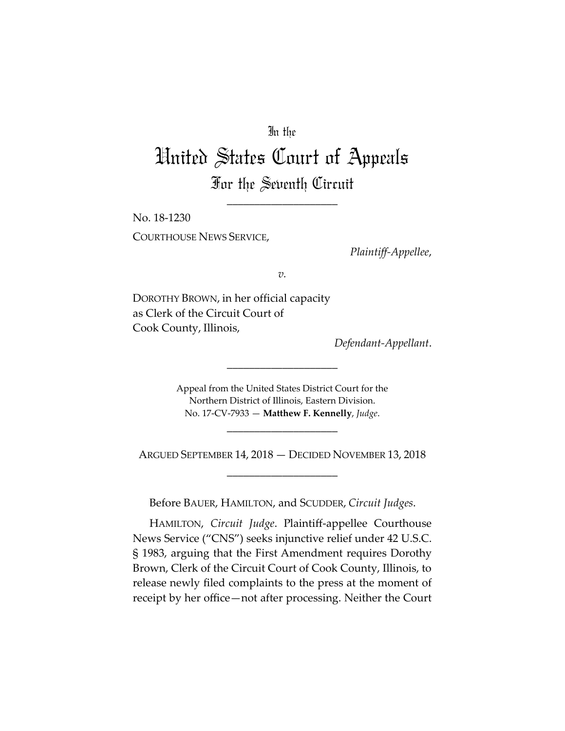# In the

# United States Court of Appeals For the Seventh Circuit

\_\_\_\_\_\_\_\_\_\_\_\_\_\_\_\_\_\_\_\_

No. 18-1230 COURTHOUSE NEWS SERVICE,

*Plaintiff-Appellee*,

*v.*

DOROTHY BROWN, in her official capacity as Clerk of the Circuit Court of Cook County, Illinois,

*Defendant-Appellant*.

Appeal from the United States District Court for the Northern District of Illinois, Eastern Division. No. 17-CV-7933 — **Matthew F. Kennelly**, *Judge*.

\_\_\_\_\_\_\_\_\_\_\_\_\_\_\_\_\_\_\_\_

\_\_\_\_\_\_\_\_\_\_\_\_\_\_\_\_\_\_\_\_

ARGUED SEPTEMBER 14, 2018 — DECIDED NOVEMBER 13, 2018 \_\_\_\_\_\_\_\_\_\_\_\_\_\_\_\_\_\_\_\_

Before BAUER, HAMILTON, and SCUDDER, *Circuit Judges*.

HAMILTON, *Circuit Judge*. Plaintiff-appellee Courthouse News Service ("CNS") seeks injunctive relief under 42 U.S.C. § 1983, arguing that the First Amendment requires Dorothy Brown, Clerk of the Circuit Court of Cook County, Illinois, to release newly filed complaints to the press at the moment of receipt by her office—not after processing. Neither the Court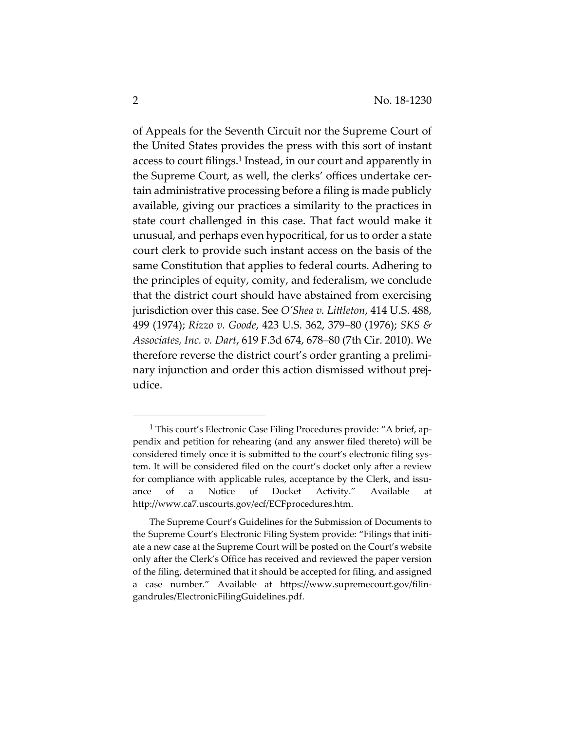of Appeals for the Seventh Circuit nor the Supreme Court of the United States provides the press with this sort of instant access to court filings.<sup>1</sup> Instead, in our court and apparently in the Supreme Court, as well, the clerks' offices undertake certain administrative processing before a filing is made publicly available, giving our practices a similarity to the practices in state court challenged in this case. That fact would make it unusual, and perhaps even hypocritical, for us to order a state court clerk to provide such instant access on the basis of the same Constitution that applies to federal courts. Adhering to the principles of equity, comity, and federalism, we conclude that the district court should have abstained from exercising jurisdiction over this case. See *O'Shea v. Littleton*, 414 U.S. 488, 499 (1974); *Rizzo v. Goode*, 423 U.S. 362, 379–80 (1976); *SKS & Associates, Inc. v. Dart*, 619 F.3d 674, 678–80 (7th Cir. 2010). We therefore reverse the district court's order granting a preliminary injunction and order this action dismissed without prejudice.

<sup>&</sup>lt;sup>1</sup> This court's Electronic Case Filing Procedures provide: "A brief, appendix and petition for rehearing (and any answer filed thereto) will be considered timely once it is submitted to the court's electronic filing system. It will be considered filed on the court's docket only after a review for compliance with applicable rules, acceptance by the Clerk, and issuance of a Notice of Docket Activity." Available at http://www.ca7.uscourts.gov/ecf/ECFprocedures.htm.

The Supreme Court's Guidelines for the Submission of Documents to the Supreme Court's Electronic Filing System provide: "Filings that initiate a new case at the Supreme Court will be posted on the Court's website only after the Clerk's Office has received and reviewed the paper version of the filing, determined that it should be accepted for filing, and assigned a case number." Available at https://www.supremecourt.gov/filingandrules/ElectronicFilingGuidelines.pdf.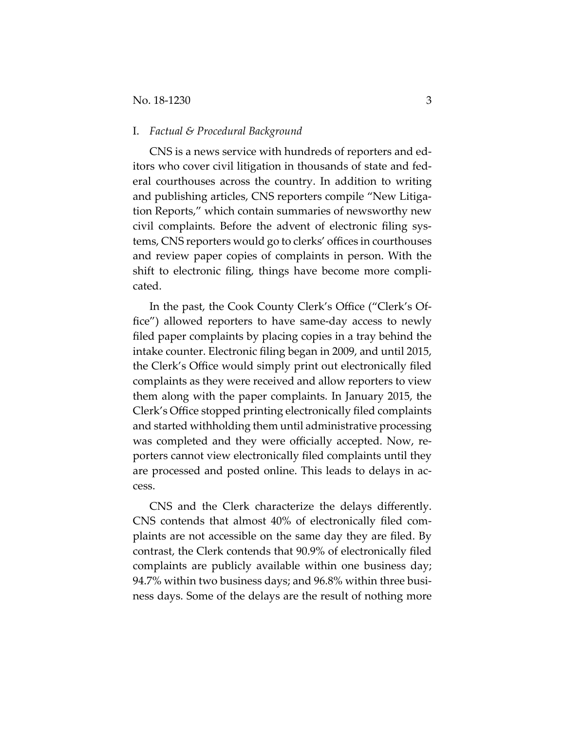#### I. *Factual & Procedural Background*

CNS is a news service with hundreds of reporters and editors who cover civil litigation in thousands of state and federal courthouses across the country. In addition to writing and publishing articles, CNS reporters compile "New Litigation Reports," which contain summaries of newsworthy new civil complaints. Before the advent of electronic filing systems, CNS reporters would go to clerks' offices in courthouses and review paper copies of complaints in person. With the shift to electronic filing, things have become more complicated.

In the past, the Cook County Clerk's Office ("Clerk's Office") allowed reporters to have same-day access to newly filed paper complaints by placing copies in a tray behind the intake counter. Electronic filing began in 2009, and until 2015, the Clerk's Office would simply print out electronically filed complaints as they were received and allow reporters to view them along with the paper complaints. In January 2015, the Clerk's Office stopped printing electronically filed complaints and started withholding them until administrative processing was completed and they were officially accepted. Now, reporters cannot view electronically filed complaints until they are processed and posted online. This leads to delays in access.

CNS and the Clerk characterize the delays differently. CNS contends that almost 40% of electronically filed complaints are not accessible on the same day they are filed. By contrast, the Clerk contends that 90.9% of electronically filed complaints are publicly available within one business day; 94.7% within two business days; and 96.8% within three business days. Some of the delays are the result of nothing more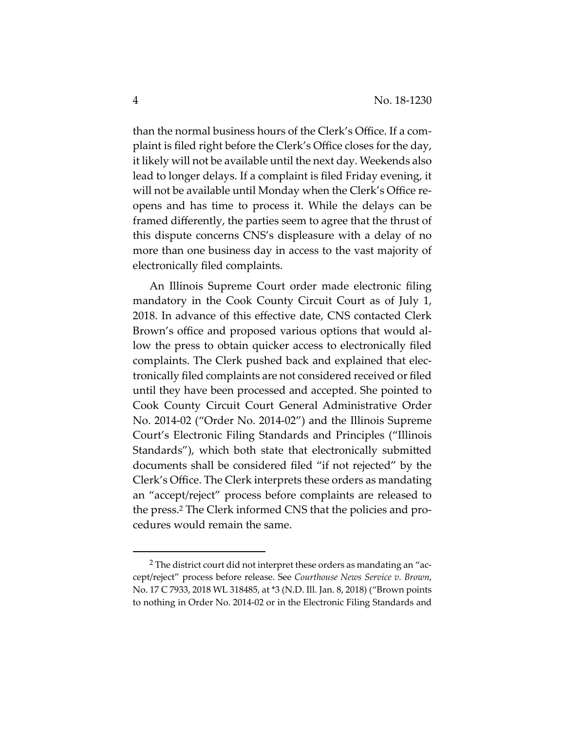than the normal business hours of the Clerk's Office. If a complaint is filed right before the Clerk's Office closes for the day, it likely will not be available until the next day. Weekends also lead to longer delays. If a complaint is filed Friday evening, it will not be available until Monday when the Clerk's Office reopens and has time to process it. While the delays can be framed differently, the parties seem to agree that the thrust of this dispute concerns CNS's displeasure with a delay of no more than one business day in access to the vast majority of electronically filed complaints.

An Illinois Supreme Court order made electronic filing mandatory in the Cook County Circuit Court as of July 1, 2018. In advance of this effective date, CNS contacted Clerk Brown's office and proposed various options that would allow the press to obtain quicker access to electronically filed complaints. The Clerk pushed back and explained that electronically filed complaints are not considered received or filed until they have been processed and accepted. She pointed to Cook County Circuit Court General Administrative Order No. 2014-02 ("Order No. 2014-02") and the Illinois Supreme Court's Electronic Filing Standards and Principles ("Illinois Standards"), which both state that electronically submitted documents shall be considered filed "if not rejected" by the Clerk's Office. The Clerk interprets these orders as mandating an "accept/reject" process before complaints are released to the press.2 The Clerk informed CNS that the policies and procedures would remain the same.

 <sup>2</sup> The district court did not interpret these orders as mandating an "accept/reject" process before release. See *Courthouse News Service v. Brown*, No. 17 C 7933, 2018 WL 318485, at \*3 (N.D. Ill. Jan. 8, 2018) ("Brown points to nothing in Order No. 2014-02 or in the Electronic Filing Standards and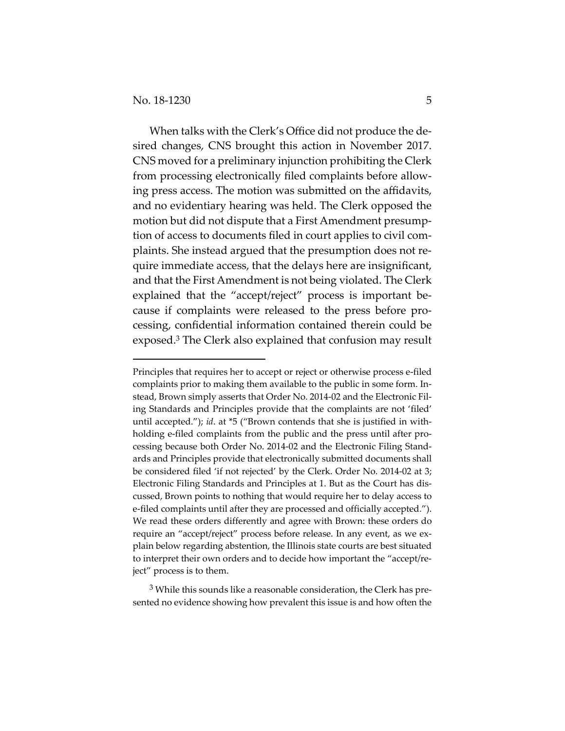$\overline{a}$ 

When talks with the Clerk's Office did not produce the desired changes, CNS brought this action in November 2017. CNS moved for a preliminary injunction prohibiting the Clerk from processing electronically filed complaints before allowing press access. The motion was submitted on the affidavits, and no evidentiary hearing was held. The Clerk opposed the motion but did not dispute that a First Amendment presumption of access to documents filed in court applies to civil complaints. She instead argued that the presumption does not require immediate access, that the delays here are insignificant, and that the First Amendment is not being violated. The Clerk explained that the "accept/reject" process is important because if complaints were released to the press before processing, confidential information contained therein could be exposed.3 The Clerk also explained that confusion may result

<sup>3</sup> While this sounds like a reasonable consideration, the Clerk has presented no evidence showing how prevalent this issue is and how often the

Principles that requires her to accept or reject or otherwise process e-filed complaints prior to making them available to the public in some form. Instead, Brown simply asserts that Order No. 2014-02 and the Electronic Filing Standards and Principles provide that the complaints are not 'filed' until accepted."); *id*. at \*5 ("Brown contends that she is justified in withholding e-filed complaints from the public and the press until after processing because both Order No. 2014-02 and the Electronic Filing Standards and Principles provide that electronically submitted documents shall be considered filed 'if not rejected' by the Clerk. Order No. 2014-02 at 3; Electronic Filing Standards and Principles at 1. But as the Court has discussed, Brown points to nothing that would require her to delay access to e-filed complaints until after they are processed and officially accepted."). We read these orders differently and agree with Brown: these orders do require an "accept/reject" process before release. In any event, as we explain below regarding abstention, the Illinois state courts are best situated to interpret their own orders and to decide how important the "accept/reject" process is to them.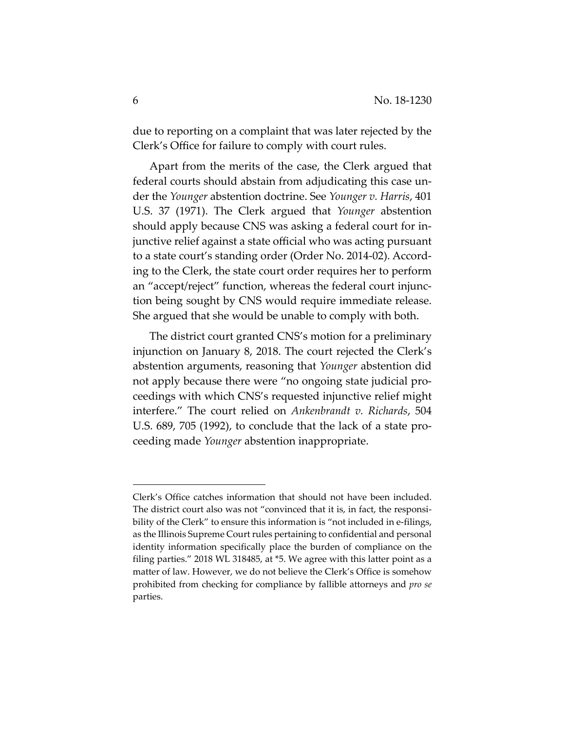due to reporting on a complaint that was later rejected by the Clerk's Office for failure to comply with court rules.

Apart from the merits of the case, the Clerk argued that federal courts should abstain from adjudicating this case under the *Younger* abstention doctrine. See *Younger v. Harris*, 401 U.S. 37 (1971). The Clerk argued that *Younger* abstention should apply because CNS was asking a federal court for injunctive relief against a state official who was acting pursuant to a state court's standing order (Order No. 2014-02). According to the Clerk, the state court order requires her to perform an "accept/reject" function, whereas the federal court injunction being sought by CNS would require immediate release. She argued that she would be unable to comply with both.

The district court granted CNS's motion for a preliminary injunction on January 8, 2018. The court rejected the Clerk's abstention arguments, reasoning that *Younger* abstention did not apply because there were "no ongoing state judicial proceedings with which CNS's requested injunctive relief might interfere." The court relied on *Ankenbrandt v. Richards*, 504 U.S. 689, 705 (1992), to conclude that the lack of a state proceeding made *Younger* abstention inappropriate.

 $\overline{a}$ 

Clerk's Office catches information that should not have been included. The district court also was not "convinced that it is, in fact, the responsibility of the Clerk" to ensure this information is "not included in e-filings, as the Illinois Supreme Court rules pertaining to confidential and personal identity information specifically place the burden of compliance on the filing parties." 2018 WL 318485, at \*5. We agree with this latter point as a matter of law. However, we do not believe the Clerk's Office is somehow prohibited from checking for compliance by fallible attorneys and *pro se* parties.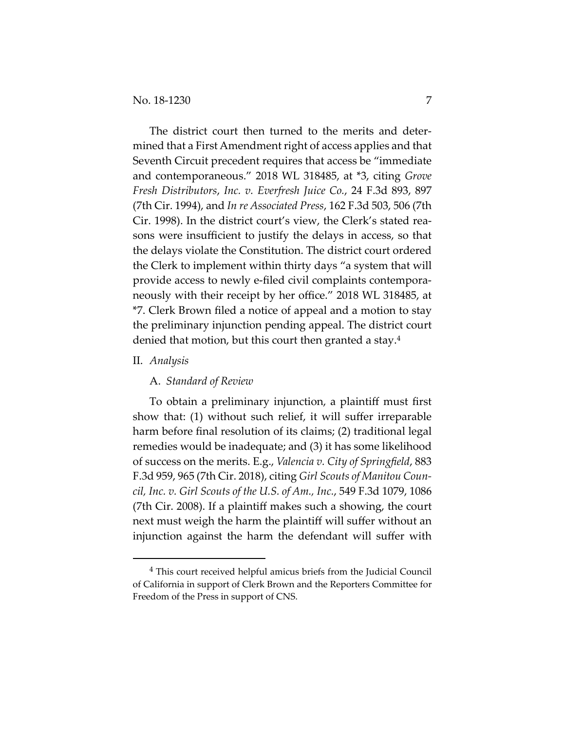The district court then turned to the merits and determined that a First Amendment right of access applies and that Seventh Circuit precedent requires that access be "immediate and contemporaneous." 2018 WL 318485, at \*3, citing *Grove Fresh Distributors*, *Inc. v. Everfresh Juice Co.*, 24 F.3d 893, 897 (7th Cir. 1994), and *In re Associated Press*, 162 F.3d 503, 506 (7th Cir. 1998). In the district court's view, the Clerk's stated reasons were insufficient to justify the delays in access, so that the delays violate the Constitution. The district court ordered the Clerk to implement within thirty days "a system that will provide access to newly e-filed civil complaints contemporaneously with their receipt by her office." 2018 WL 318485, at \*7. Clerk Brown filed a notice of appeal and a motion to stay the preliminary injunction pending appeal. The district court denied that motion, but this court then granted a stay.4

#### II. *Analysis*

## A. *Standard of Review*

To obtain a preliminary injunction, a plaintiff must first show that: (1) without such relief, it will suffer irreparable harm before final resolution of its claims; (2) traditional legal remedies would be inadequate; and (3) it has some likelihood of success on the merits. E.g., *Valencia v. City of Springfield*, 883 F.3d 959, 965 (7th Cir. 2018), citing *Girl Scouts of Manitou Council, Inc. v. Girl Scouts of the U.S. of Am., Inc.*, 549 F.3d 1079, 1086 (7th Cir. 2008). If a plaintiff makes such a showing, the court next must weigh the harm the plaintiff will suffer without an injunction against the harm the defendant will suffer with

 <sup>4</sup> This court received helpful amicus briefs from the Judicial Council of California in support of Clerk Brown and the Reporters Committee for Freedom of the Press in support of CNS.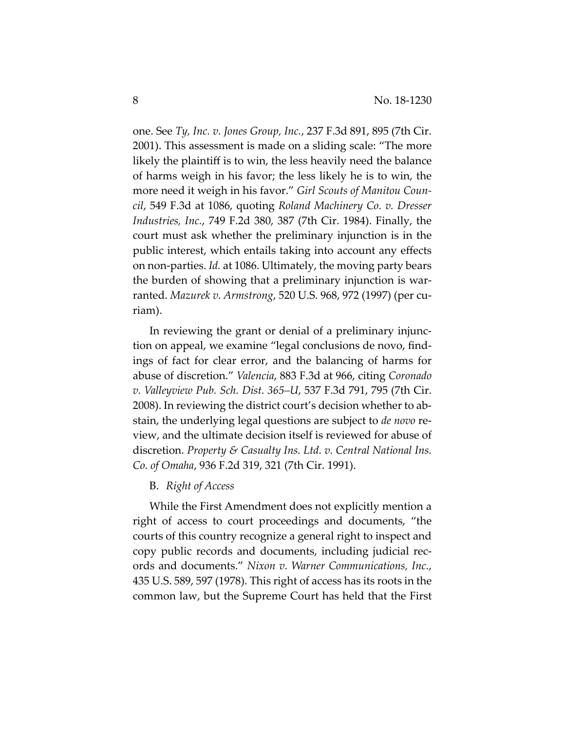one. See *Ty, Inc. v. Jones Group, Inc.*, 237 F.3d 891, 895 (7th Cir. 2001). This assessment is made on a sliding scale: "The more likely the plaintiff is to win, the less heavily need the balance of harms weigh in his favor; the less likely he is to win, the more need it weigh in his favor." *Girl Scouts of Manitou Council*, 549 F.3d at 1086, quoting *Roland Machinery Co. v. Dresser Industries, Inc.*, 749 F.2d 380, 387 (7th Cir. 1984). Finally, the court must ask whether the preliminary injunction is in the public interest, which entails taking into account any effects on non-parties. *Id.* at 1086. Ultimately, the moving party bears the burden of showing that a preliminary injunction is warranted. *Mazurek v. Armstrong*, 520 U.S. 968, 972 (1997) (per curiam).

In reviewing the grant or denial of a preliminary injunction on appeal, we examine "legal conclusions de novo, findings of fact for clear error, and the balancing of harms for abuse of discretion." *Valencia*, 883 F.3d at 966, citing *Coronado v. Valleyview Pub. Sch. Dist. 365–U*, 537 F.3d 791, 795 (7th Cir. 2008). In reviewing the district court's decision whether to abstain, the underlying legal questions are subject to *de novo* review, and the ultimate decision itself is reviewed for abuse of discretion. *Property & Casualty Ins. Ltd. v. Central National Ins. Co. of Omaha*, 936 F.2d 319, 321 (7th Cir. 1991).

B. *Right of Access*

While the First Amendment does not explicitly mention a right of access to court proceedings and documents, "the courts of this country recognize a general right to inspect and copy public records and documents, including judicial records and documents." *Nixon v. Warner Communications, Inc.*, 435 U.S. 589, 597 (1978). This right of access has its roots in the common law, but the Supreme Court has held that the First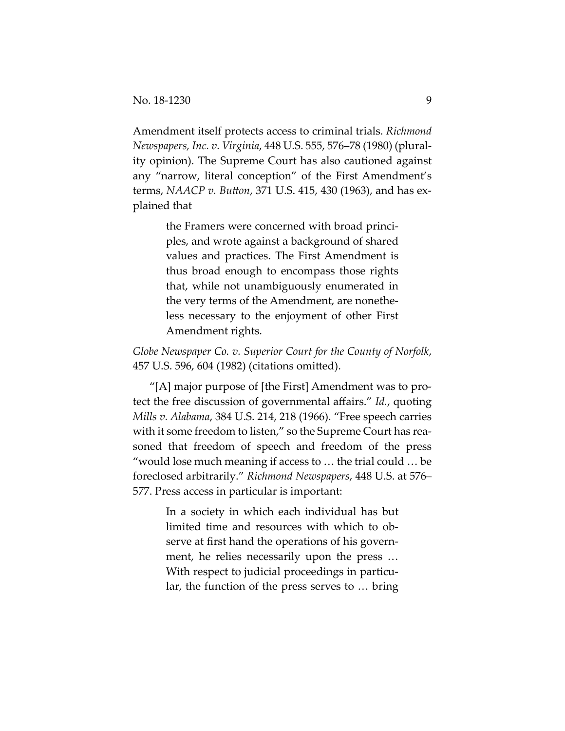Amendment itself protects access to criminal trials. *Richmond Newspapers, Inc. v. Virginia*, 448 U.S. 555, 576–78 (1980) (plurality opinion). The Supreme Court has also cautioned against any "narrow, literal conception" of the First Amendment's terms, *NAACP v. Button*, 371 U.S. 415, 430 (1963), and has explained that

> the Framers were concerned with broad principles, and wrote against a background of shared values and practices. The First Amendment is thus broad enough to encompass those rights that, while not unambiguously enumerated in the very terms of the Amendment, are nonetheless necessary to the enjoyment of other First Amendment rights.

*Globe Newspaper Co. v. Superior Court for the County of Norfolk*, 457 U.S. 596, 604 (1982) (citations omitted).

"[A] major purpose of [the First] Amendment was to protect the free discussion of governmental affairs." *Id.*, quoting *Mills v. Alabama*, 384 U.S. 214, 218 (1966). "Free speech carries with it some freedom to listen," so the Supreme Court has reasoned that freedom of speech and freedom of the press "would lose much meaning if access to … the trial could … be foreclosed arbitrarily." *Richmond Newspapers*, 448 U.S. at 576– 577. Press access in particular is important:

> In a society in which each individual has but limited time and resources with which to observe at first hand the operations of his government, he relies necessarily upon the press … With respect to judicial proceedings in particular, the function of the press serves to … bring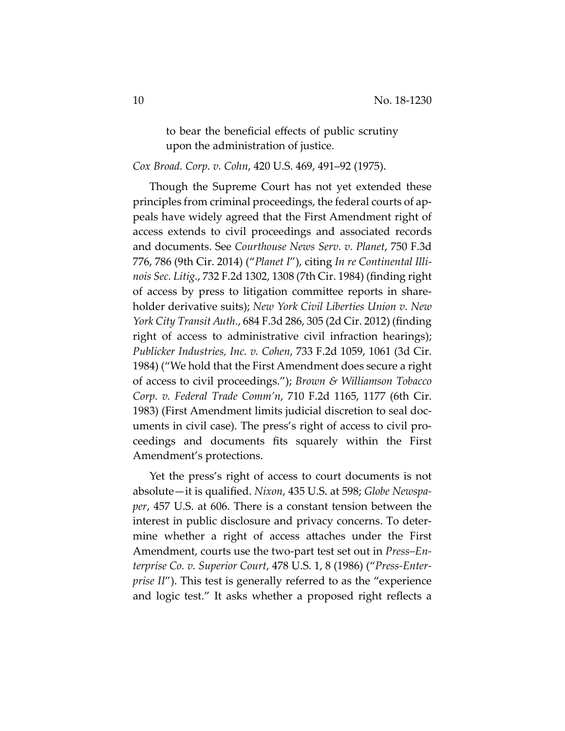to bear the beneficial effects of public scrutiny upon the administration of justice.

## *Cox Broad. Corp. v. Cohn*, 420 U.S. 469, 491–92 (1975).

Though the Supreme Court has not yet extended these principles from criminal proceedings, the federal courts of appeals have widely agreed that the First Amendment right of access extends to civil proceedings and associated records and documents. See *Courthouse News Serv. v. Planet*, 750 F.3d 776, 786 (9th Cir. 2014) ("*Planet I*"), citing *In re Continental Illinois Sec. Litig.*, 732 F.2d 1302, 1308 (7th Cir. 1984) (finding right of access by press to litigation committee reports in shareholder derivative suits); *New York Civil Liberties Union v. New York City Transit Auth.*, 684 F.3d 286, 305 (2d Cir. 2012) (finding right of access to administrative civil infraction hearings); *Publicker Industries, Inc. v. Cohen*, 733 F.2d 1059, 1061 (3d Cir. 1984) ("We hold that the First Amendment does secure a right of access to civil proceedings."); *Brown & Williamson Tobacco Corp. v. Federal Trade Comm'n*, 710 F.2d 1165, 1177 (6th Cir. 1983) (First Amendment limits judicial discretion to seal documents in civil case). The press's right of access to civil proceedings and documents fits squarely within the First Amendment's protections.

Yet the press's right of access to court documents is not absolute—it is qualified. *Nixon*, 435 U.S. at 598; *Globe Newspaper*, 457 U.S. at 606. There is a constant tension between the interest in public disclosure and privacy concerns. To determine whether a right of access attaches under the First Amendment, courts use the two-part test set out in *Press–Enterprise Co. v. Superior Court*, 478 U.S. 1, 8 (1986) ("*Press-Enterprise II"*). This test is generally referred to as the "experience" and logic test." It asks whether a proposed right reflects a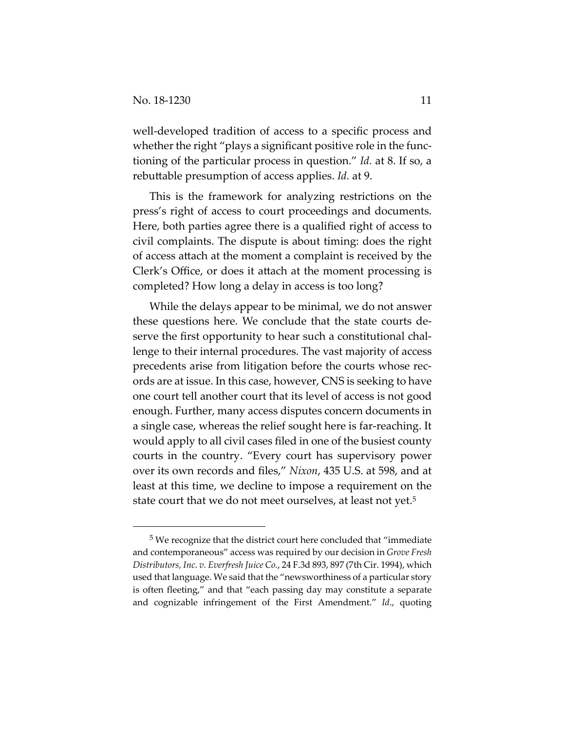well-developed tradition of access to a specific process and whether the right "plays a significant positive role in the functioning of the particular process in question." *Id.* at 8. If so, a rebuttable presumption of access applies. *Id.* at 9.

This is the framework for analyzing restrictions on the press's right of access to court proceedings and documents. Here, both parties agree there is a qualified right of access to civil complaints. The dispute is about timing: does the right of access attach at the moment a complaint is received by the Clerk's Office, or does it attach at the moment processing is completed? How long a delay in access is too long?

While the delays appear to be minimal, we do not answer these questions here. We conclude that the state courts deserve the first opportunity to hear such a constitutional challenge to their internal procedures. The vast majority of access precedents arise from litigation before the courts whose records are at issue. In this case, however, CNS is seeking to have one court tell another court that its level of access is not good enough. Further, many access disputes concern documents in a single case, whereas the relief sought here is far-reaching. It would apply to all civil cases filed in one of the busiest county courts in the country. "Every court has supervisory power over its own records and files," *Nixon*, 435 U.S. at 598, and at least at this time, we decline to impose a requirement on the state court that we do not meet ourselves, at least not yet.<sup>5</sup>

 <sup>5</sup> We recognize that the district court here concluded that "immediate and contemporaneous" access was required by our decision in *Grove Fresh Distributors, Inc. v. Everfresh Juice Co.*, 24 F.3d 893, 897 (7th Cir. 1994), which used that language. We said that the "newsworthiness of a particular story is often fleeting," and that "each passing day may constitute a separate and cognizable infringement of the First Amendment." *Id*., quoting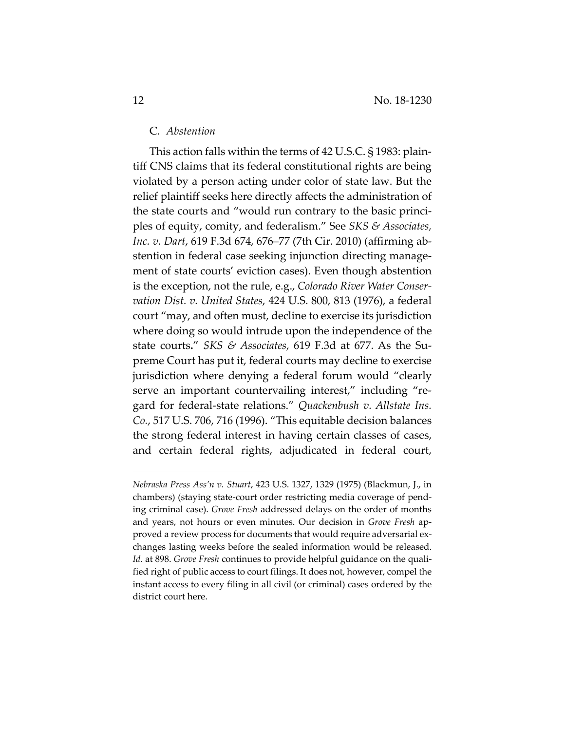#### C. *Abstention*

This action falls within the terms of 42 U.S.C. § 1983: plaintiff CNS claims that its federal constitutional rights are being violated by a person acting under color of state law. But the relief plaintiff seeks here directly affects the administration of the state courts and "would run contrary to the basic principles of equity, comity, and federalism." See *SKS & Associates, Inc. v. Dart*, 619 F.3d 674, 676–77 (7th Cir. 2010) (affirming abstention in federal case seeking injunction directing management of state courts' eviction cases). Even though abstention is the exception, not the rule, e.g., *Colorado River Water Conservation Dist. v. United States*, 424 U.S. 800, 813 (1976), a federal court "may, and often must, decline to exercise its jurisdiction where doing so would intrude upon the independence of the state courts**.**" *SKS & Associates*, 619 F.3d at 677. As the Supreme Court has put it, federal courts may decline to exercise jurisdiction where denying a federal forum would "clearly serve an important countervailing interest," including "regard for federal-state relations." *Quackenbush v. Allstate Ins. Co.*, 517 U.S. 706, 716 (1996). "This equitable decision balances the strong federal interest in having certain classes of cases, and certain federal rights, adjudicated in federal court,

 $\overline{a}$ 

*Nebraska Press Ass'n v. Stuart*, 423 U.S. 1327, 1329 (1975) (Blackmun, J., in chambers) (staying state-court order restricting media coverage of pending criminal case). *Grove Fresh* addressed delays on the order of months and years, not hours or even minutes. Our decision in *Grove Fresh* approved a review process for documents that would require adversarial exchanges lasting weeks before the sealed information would be released. *Id*. at 898. *Grove Fresh* continues to provide helpful guidance on the qualified right of public access to court filings. It does not, however, compel the instant access to every filing in all civil (or criminal) cases ordered by the district court here.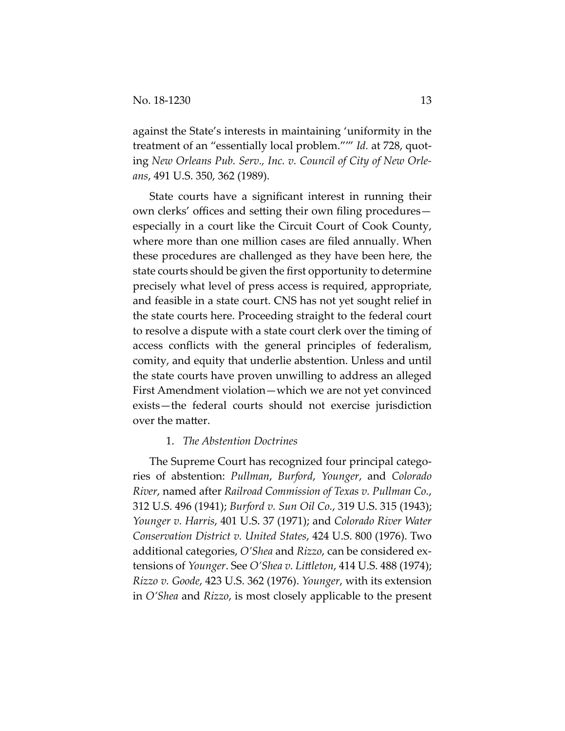against the State's interests in maintaining 'uniformity in the treatment of an "essentially local problem."'" *Id.* at 728, quoting *New Orleans Pub. Serv., Inc. v. Council of City of New Orleans*, 491 U.S. 350, 362 (1989).

State courts have a significant interest in running their own clerks' offices and setting their own filing procedures especially in a court like the Circuit Court of Cook County, where more than one million cases are filed annually. When these procedures are challenged as they have been here, the state courts should be given the first opportunity to determine precisely what level of press access is required, appropriate, and feasible in a state court. CNS has not yet sought relief in the state courts here. Proceeding straight to the federal court to resolve a dispute with a state court clerk over the timing of access conflicts with the general principles of federalism, comity, and equity that underlie abstention. Unless and until the state courts have proven unwilling to address an alleged First Amendment violation—which we are not yet convinced exists—the federal courts should not exercise jurisdiction over the matter.

### 1. *The Abstention Doctrines*

The Supreme Court has recognized four principal categories of abstention: *Pullman*, *Burford*, *Younger*, and *Colorado River*, named after *Railroad Commission of Texas v. Pullman Co.*, 312 U.S. 496 (1941); *Burford v. Sun Oil Co.*, 319 U.S. 315 (1943); *Younger v. Harris*, 401 U.S. 37 (1971); and *Colorado River Water Conservation District v. United States*, 424 U.S. 800 (1976). Two additional categories, *O'Shea* and *Rizzo*, can be considered extensions of *Younger*. See *O'Shea v. Littleton*, 414 U.S. 488 (1974); *Rizzo v. Goode*, 423 U.S. 362 (1976). *Younger*, with its extension in *O'Shea* and *Rizzo*, is most closely applicable to the present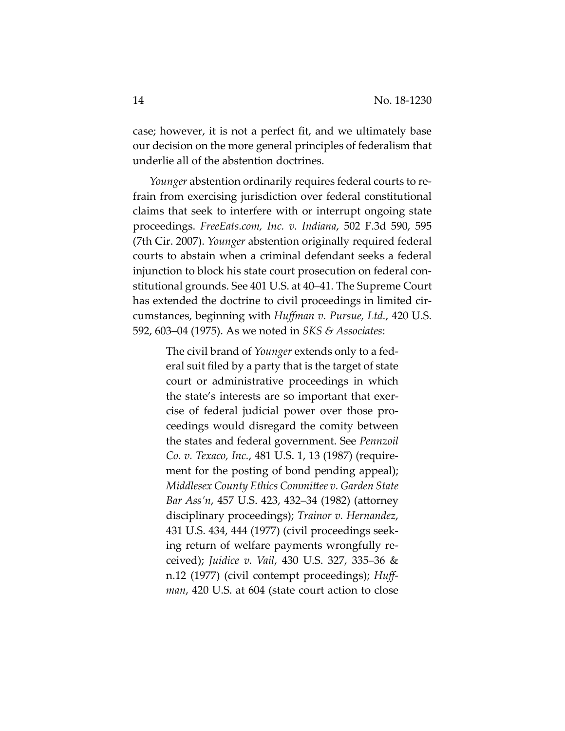case; however, it is not a perfect fit, and we ultimately base our decision on the more general principles of federalism that underlie all of the abstention doctrines.

*Younger* abstention ordinarily requires federal courts to refrain from exercising jurisdiction over federal constitutional claims that seek to interfere with or interrupt ongoing state proceedings. *FreeEats.com, Inc. v. Indiana*, 502 F.3d 590, 595 (7th Cir. 2007). *Younger* abstention originally required federal courts to abstain when a criminal defendant seeks a federal injunction to block his state court prosecution on federal constitutional grounds. See 401 U.S. at 40–41. The Supreme Court has extended the doctrine to civil proceedings in limited circumstances, beginning with *Huffman v. Pursue, Ltd.*, 420 U.S. 592, 603–04 (1975). As we noted in *SKS & Associates*:

> The civil brand of *Younger* extends only to a federal suit filed by a party that is the target of state court or administrative proceedings in which the state's interests are so important that exercise of federal judicial power over those proceedings would disregard the comity between the states and federal government. See *Pennzoil Co. v. Texaco, Inc.*, 481 U.S. 1, 13 (1987) (requirement for the posting of bond pending appeal); *Middlesex County Ethics Committee v. Garden State Bar Ass'n*, 457 U.S. 423, 432–34 (1982) (attorney disciplinary proceedings); *Trainor v. Hernandez*, 431 U.S. 434, 444 (1977) (civil proceedings seeking return of welfare payments wrongfully received); *Juidice v. Vail*, 430 U.S. 327, 335–36 & n.12 (1977) (civil contempt proceedings); *Huffman*, 420 U.S. at 604 (state court action to close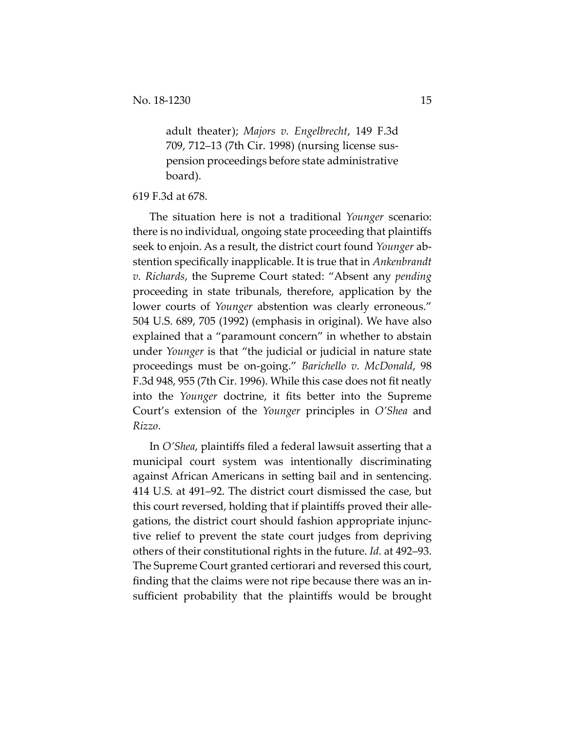adult theater); *Majors v. Engelbrecht*, 149 F.3d 709, 712–13 (7th Cir. 1998) (nursing license suspension proceedings before state administrative board).

#### 619 F.3d at 678.

The situation here is not a traditional *Younger* scenario: there is no individual, ongoing state proceeding that plaintiffs seek to enjoin. As a result, the district court found *Younger* abstention specifically inapplicable. It is true that in *Ankenbrandt v. Richards*, the Supreme Court stated: "Absent any *pending* proceeding in state tribunals, therefore, application by the lower courts of *Younger* abstention was clearly erroneous." 504 U.S. 689, 705 (1992) (emphasis in original). We have also explained that a "paramount concern" in whether to abstain under *Younger* is that "the judicial or judicial in nature state proceedings must be on-going." *Barichello v. McDonald*, 98 F.3d 948, 955 (7th Cir. 1996). While this case does not fit neatly into the *Younger* doctrine, it fits better into the Supreme Court's extension of the *Younger* principles in *O'Shea* and *Rizzo*.

In *O'Shea*, plaintiffs filed a federal lawsuit asserting that a municipal court system was intentionally discriminating against African Americans in setting bail and in sentencing. 414 U.S. at 491–92. The district court dismissed the case, but this court reversed, holding that if plaintiffs proved their allegations, the district court should fashion appropriate injunctive relief to prevent the state court judges from depriving others of their constitutional rights in the future. *Id.* at 492–93. The Supreme Court granted certiorari and reversed this court, finding that the claims were not ripe because there was an insufficient probability that the plaintiffs would be brought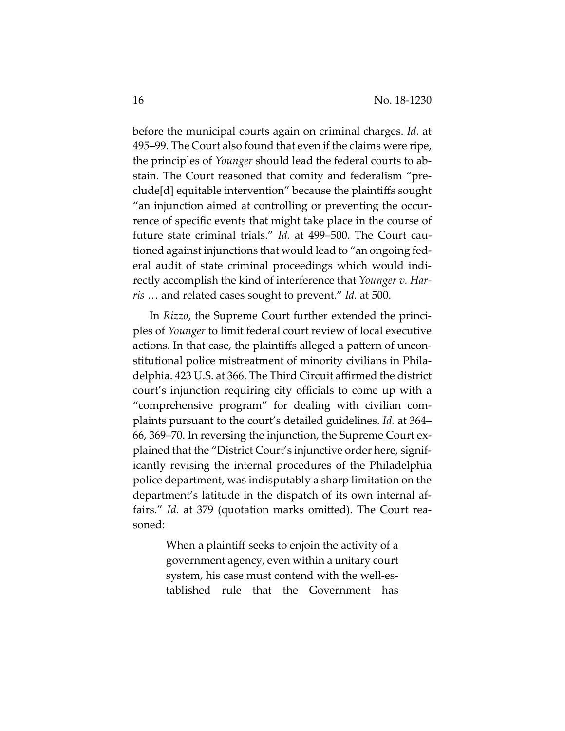before the municipal courts again on criminal charges. *Id.* at 495–99. The Court also found that even if the claims were ripe, the principles of *Younger* should lead the federal courts to abstain. The Court reasoned that comity and federalism "preclude[d] equitable intervention" because the plaintiffs sought "an injunction aimed at controlling or preventing the occurrence of specific events that might take place in the course of future state criminal trials." *Id.* at 499–500. The Court cautioned against injunctions that would lead to "an ongoing federal audit of state criminal proceedings which would indirectly accomplish the kind of interference that *Younger v. Harris* … and related cases sought to prevent." *Id.* at 500.

In *Rizzo*, the Supreme Court further extended the principles of *Younger* to limit federal court review of local executive actions. In that case, the plaintiffs alleged a pattern of unconstitutional police mistreatment of minority civilians in Philadelphia. 423 U.S. at 366. The Third Circuit affirmed the district court's injunction requiring city officials to come up with a "comprehensive program" for dealing with civilian complaints pursuant to the court's detailed guidelines. *Id.* at 364– 66, 369–70. In reversing the injunction, the Supreme Court explained that the "District Court's injunctive order here, significantly revising the internal procedures of the Philadelphia police department, was indisputably a sharp limitation on the department's latitude in the dispatch of its own internal affairs." *Id.* at 379 (quotation marks omitted). The Court reasoned:

> When a plaintiff seeks to enjoin the activity of a government agency, even within a unitary court system, his case must contend with the well-established rule that the Government has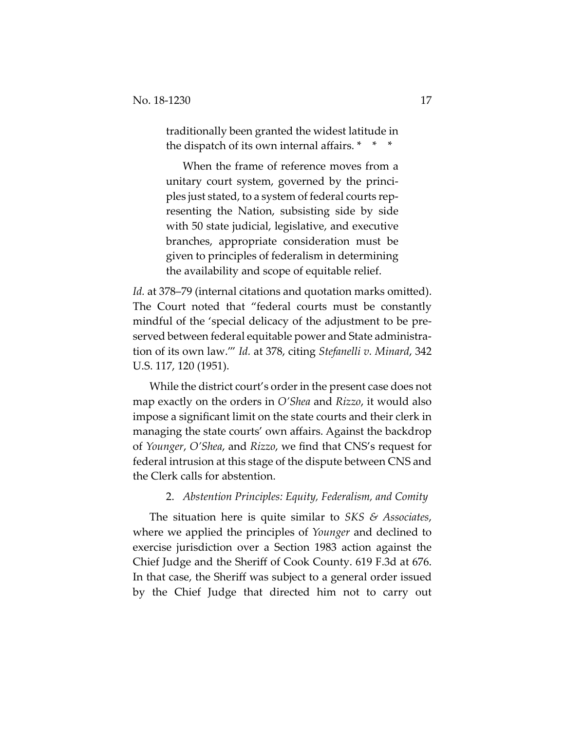traditionally been granted the widest latitude in the dispatch of its own internal affairs. \* \* \*

When the frame of reference moves from a unitary court system, governed by the principles just stated, to a system of federal courts representing the Nation, subsisting side by side with 50 state judicial, legislative, and executive branches, appropriate consideration must be given to principles of federalism in determining the availability and scope of equitable relief.

*Id.* at 378–79 (internal citations and quotation marks omitted). The Court noted that "federal courts must be constantly mindful of the 'special delicacy of the adjustment to be preserved between federal equitable power and State administration of its own law.'" *Id.* at 378, citing *Stefanelli v. Minard*, 342 U.S. 117, 120 (1951).

While the district court's order in the present case does not map exactly on the orders in *O'Shea* and *Rizzo*, it would also impose a significant limit on the state courts and their clerk in managing the state courts' own affairs. Against the backdrop of *Younger*, *O'Shea*, and *Rizzo*, we find that CNS's request for federal intrusion at this stage of the dispute between CNS and the Clerk calls for abstention.

## 2. *Abstention Principles: Equity, Federalism, and Comity*

The situation here is quite similar to *SKS & Associates*, where we applied the principles of *Younger* and declined to exercise jurisdiction over a Section 1983 action against the Chief Judge and the Sheriff of Cook County. 619 F.3d at 676. In that case, the Sheriff was subject to a general order issued by the Chief Judge that directed him not to carry out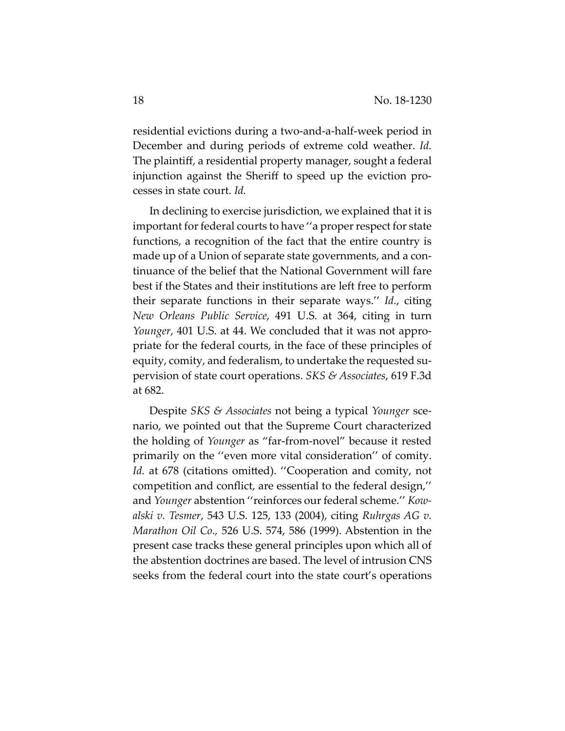residential evictions during a two-and-a-half-week period in December and during periods of extreme cold weather. *Id.* The plaintiff, a residential property manager, sought a federal injunction against the Sheriff to speed up the eviction processes in state court. *Id.* 

In declining to exercise jurisdiction, we explained that it is important for federal courts to have ''a proper respect for state functions, a recognition of the fact that the entire country is made up of a Union of separate state governments, and a continuance of the belief that the National Government will fare best if the States and their institutions are left free to perform their separate functions in their separate ways.'' *Id.*, citing *New Orleans Public Service*, 491 U.S. at 364, citing in turn *Younger*, 401 U.S. at 44. We concluded that it was not appropriate for the federal courts, in the face of these principles of equity, comity, and federalism, to undertake the requested supervision of state court operations. *SKS & Associates*, 619 F.3d at 682.

Despite *SKS & Associates* not being a typical *Younger* scenario, we pointed out that the Supreme Court characterized the holding of *Younger* as "far-from-novel" because it rested primarily on the ''even more vital consideration'' of comity. Id. at 678 (citations omitted). "Cooperation and comity, not competition and conflict, are essential to the federal design,'' and *Younger* abstention ''reinforces our federal scheme.'' *Kowalski v. Tesmer*, 543 U.S. 125, 133 (2004), citing *Ruhrgas AG v. Marathon Oil Co.,* 526 U.S. 574, 586 (1999). Abstention in the present case tracks these general principles upon which all of the abstention doctrines are based. The level of intrusion CNS seeks from the federal court into the state court's operations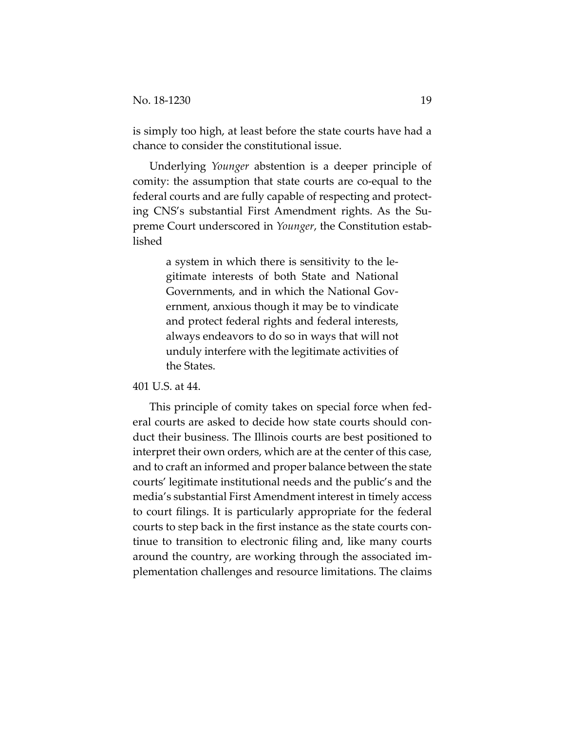is simply too high, at least before the state courts have had a chance to consider the constitutional issue.

Underlying *Younger* abstention is a deeper principle of comity: the assumption that state courts are co-equal to the federal courts and are fully capable of respecting and protecting CNS's substantial First Amendment rights. As the Supreme Court underscored in *Younger*, the Constitution established

> a system in which there is sensitivity to the legitimate interests of both State and National Governments, and in which the National Government, anxious though it may be to vindicate and protect federal rights and federal interests, always endeavors to do so in ways that will not unduly interfere with the legitimate activities of the States.

#### 401 U.S. at 44.

This principle of comity takes on special force when federal courts are asked to decide how state courts should conduct their business. The Illinois courts are best positioned to interpret their own orders, which are at the center of this case, and to craft an informed and proper balance between the state courts' legitimate institutional needs and the public's and the media's substantial First Amendment interest in timely access to court filings. It is particularly appropriate for the federal courts to step back in the first instance as the state courts continue to transition to electronic filing and, like many courts around the country, are working through the associated implementation challenges and resource limitations. The claims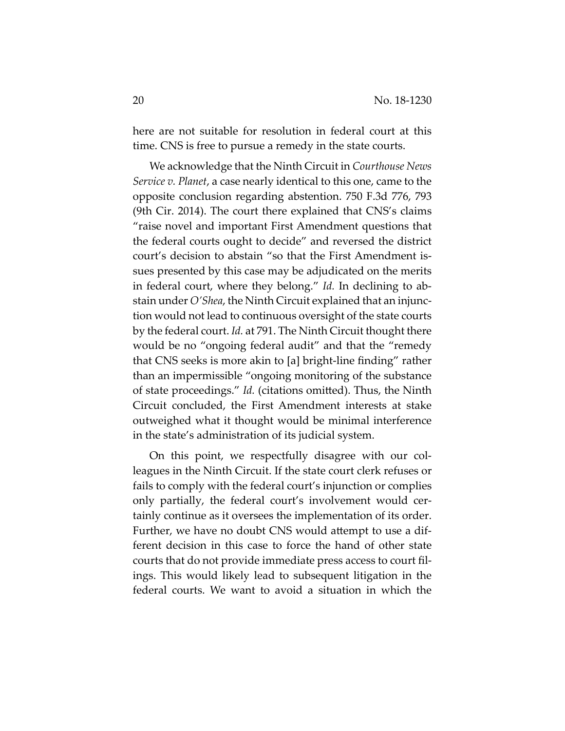here are not suitable for resolution in federal court at this time. CNS is free to pursue a remedy in the state courts.

We acknowledge that the Ninth Circuit in *Courthouse News Service v. Planet*, a case nearly identical to this one, came to the opposite conclusion regarding abstention. 750 F.3d 776, 793 (9th Cir. 2014). The court there explained that CNS's claims "raise novel and important First Amendment questions that the federal courts ought to decide" and reversed the district court's decision to abstain "so that the First Amendment issues presented by this case may be adjudicated on the merits in federal court, where they belong." *Id.* In declining to abstain under *O'Shea*, the Ninth Circuit explained that an injunction would not lead to continuous oversight of the state courts by the federal court. *Id.* at 791. The Ninth Circuit thought there would be no "ongoing federal audit" and that the "remedy that CNS seeks is more akin to [a] bright-line finding" rather than an impermissible "ongoing monitoring of the substance of state proceedings." *Id.* (citations omitted). Thus, the Ninth Circuit concluded, the First Amendment interests at stake outweighed what it thought would be minimal interference in the state's administration of its judicial system.

On this point, we respectfully disagree with our colleagues in the Ninth Circuit. If the state court clerk refuses or fails to comply with the federal court's injunction or complies only partially, the federal court's involvement would certainly continue as it oversees the implementation of its order. Further, we have no doubt CNS would attempt to use a different decision in this case to force the hand of other state courts that do not provide immediate press access to court filings. This would likely lead to subsequent litigation in the federal courts. We want to avoid a situation in which the